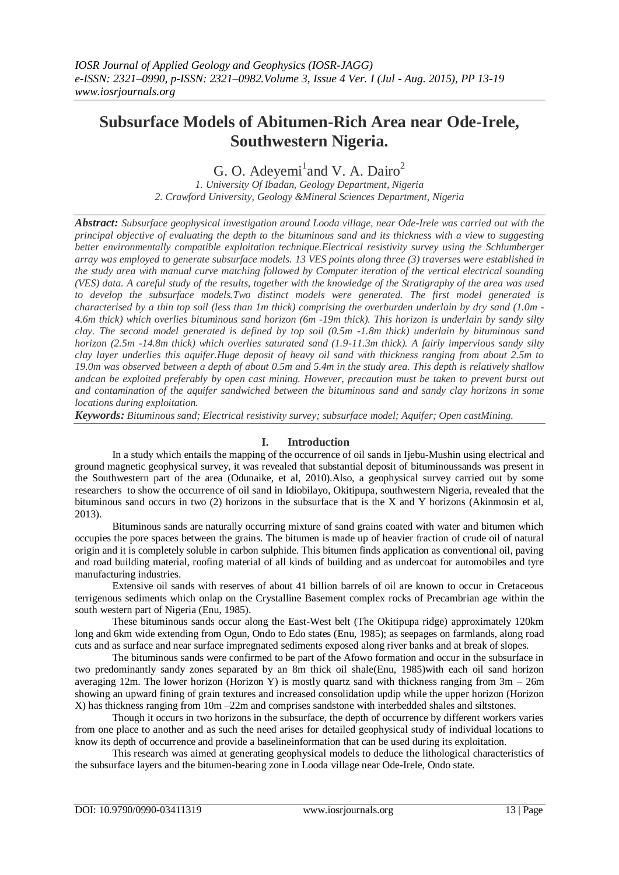# **Subsurface Models of Abitumen-Rich Area near Ode-Irele, Southwestern Nigeria.**

G. O. Adeyemi<sup>1</sup> and V. A. Dairo<sup>2</sup>

*1. University Of Ibadan, Geology Department, Nigeria 2. Crawford University, Geology &Mineral Sciences Department, Nigeria*

*Abstract: Subsurface geophysical investigation around Looda village, near Ode-Irele was carried out with the principal objective of evaluating the depth to the bituminous sand and its thickness with a view to suggesting better environmentally compatible exploitation technique.Electrical resistivity survey using the Schlumberger array was employed to generate subsurface models. 13 VES points along three (3) traverses were established in the study area with manual curve matching followed by Computer iteration of the vertical electrical sounding (VES) data. A careful study of the results, together with the knowledge of the Stratigraphy of the area was used to develop the subsurface models.Two distinct models were generated. The first model generated is characterised by a thin top soil (less than 1m thick) comprising the overburden underlain by dry sand (1.0m - 4.6m thick) which overlies bituminous sand horizon (6m -19m thick). This horizon is underlain by sandy silty clay. The second model generated is defined by top soil (0.5m -1.8m thick) underlain by bituminous sand horizon (2.5m -14.8m thick) which overlies saturated sand (1.9-11.3m thick). A fairly impervious sandy silty clay layer underlies this aquifer.Huge deposit of heavy oil sand with thickness ranging from about 2.5m to 19.0m was observed between a depth of about 0.5m and 5.4m in the study area. This depth is relatively shallow andcan be exploited preferably by open cast mining. However, precaution must be taken to prevent burst out and contamination of the aquifer sandwiched between the bituminous sand and sandy clay horizons in some locations during exploitation.*

*Keywords: Bituminous sand; Electrical resistivity survey; subsurface model; Aquifer; Open castMining.*

## **I. Introduction**

In a study which entails the mapping of the occurrence of oil sands in Ijebu-Mushin using electrical and ground magnetic geophysical survey, it was revealed that substantial deposit of bituminoussands was present in the Southwestern part of the area (Odunaike, et al, 2010).Also, a geophysical survey carried out by some researchers to show the occurrence of oil sand in Idiobilayo, Okitipupa, southwestern Nigeria, revealed that the bituminous sand occurs in two (2) horizons in the subsurface that is the X and Y horizons (Akinmosin et al, 2013).

Bituminous sands are naturally occurring mixture of sand grains coated with water and bitumen which occupies the pore spaces between the grains. The bitumen is made up of heavier fraction of crude oil of natural origin and it is completely soluble in carbon sulphide. This bitumen finds application as conventional oil, paving and road building material, roofing material of all kinds of building and as undercoat for automobiles and tyre manufacturing industries.

Extensive oil sands with reserves of about 41 billion barrels of oil are known to occur in Cretaceous terrigenous sediments which onlap on the Crystalline Basement complex rocks of Precambrian age within the south western part of Nigeria (Enu, 1985).

These bituminous sands occur along the East-West belt (The Okitipupa ridge) approximately 120km long and 6km wide extending from Ogun, Ondo to Edo states (Enu, 1985); as seepages on farmlands, along road cuts and as surface and near surface impregnated sediments exposed along river banks and at break of slopes.

The bituminous sands were confirmed to be part of the Afowo formation and occur in the subsurface in two predominantly sandy zones separated by an 8m thick oil shale(Enu, 1985)with each oil sand horizon averaging 12m. The lower horizon (Horizon Y) is mostly quartz sand with thickness ranging from  $3m - 26m$ showing an upward fining of grain textures and increased consolidation updip while the upper horizon (Horizon X) has thickness ranging from 10m –22m and comprises sandstone with interbedded shales and siltstones.

Though it occurs in two horizons in the subsurface, the depth of occurrence by different workers varies from one place to another and as such the need arises for detailed geophysical study of individual locations to know its depth of occurrence and provide a baselineinformation that can be used during its exploitation.

This research was aimed at generating geophysical models to deduce the lithological characteristics of the subsurface layers and the bitumen-bearing zone in Looda village near Ode-Irele, Ondo state.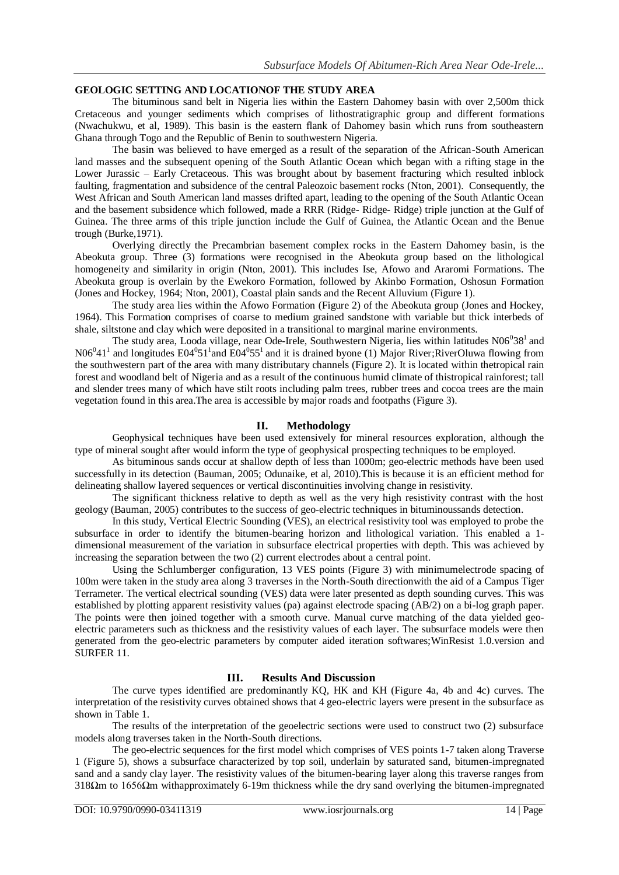#### **GEOLOGIC SETTING AND LOCATIONOF THE STUDY AREA**

The bituminous sand belt in Nigeria lies within the Eastern Dahomey basin with over 2,500m thick Cretaceous and younger sediments which comprises of lithostratigraphic group and different formations (Nwachukwu, et al, 1989). This basin is the eastern flank of Dahomey basin which runs from southeastern Ghana through Togo and the Republic of Benin to southwestern Nigeria.

The basin was believed to have emerged as a result of the separation of the African-South American land masses and the subsequent opening of the South Atlantic Ocean which began with a rifting stage in the Lower Jurassic – Early Cretaceous. This was brought about by basement fracturing which resulted inblock faulting, fragmentation and subsidence of the central Paleozoic basement rocks (Nton, 2001). Consequently, the West African and South American land masses drifted apart, leading to the opening of the South Atlantic Ocean and the basement subsidence which followed, made a RRR (Ridge- Ridge- Ridge) triple junction at the Gulf of Guinea. The three arms of this triple junction include the Gulf of Guinea, the Atlantic Ocean and the Benue trough (Burke,1971).

Overlying directly the Precambrian basement complex rocks in the Eastern Dahomey basin, is the Abeokuta group. Three (3) formations were recognised in the Abeokuta group based on the lithological homogeneity and similarity in origin (Nton, 2001). This includes Ise, Afowo and Araromi Formations. The Abeokuta group is overlain by the Ewekoro Formation, followed by Akinbo Formation, Oshosun Formation (Jones and Hockey, 1964; Nton, 2001), Coastal plain sands and the Recent Alluvium (Figure 1).

The study area lies within the Afowo Formation (Figure 2) of the Abeokuta group (Jones and Hockey, 1964). This Formation comprises of coarse to medium grained sandstone with variable but thick interbeds of shale, siltstone and clay which were deposited in a transitional to marginal marine environments.

The study area, Looda village, near Ode-Irele, Southwestern Nigeria, lies within latitudes N06<sup>0</sup>38<sup>1</sup> and N06<sup>0</sup>41<sup>1</sup> and longitudes E04<sup>0</sup>51<sup>1</sup> and E04<sup>0</sup>55<sup>1</sup> and it is drained byone (1) Major River; RiverOluwa flowing from the southwestern part of the area with many distributary channels (Figure 2). It is located within thetropical rain forest and woodland belt of Nigeria and as a result of the continuous humid climate of thistropical rainforest; tall and slender trees many of which have stilt roots including palm trees, rubber trees and cocoa trees are the main vegetation found in this area.The area is accessible by major roads and footpaths (Figure 3).

#### **II. Methodology**

Geophysical techniques have been used extensively for mineral resources exploration, although the type of mineral sought after would inform the type of geophysical prospecting techniques to be employed.

As bituminous sands occur at shallow depth of less than 1000m; geo-electric methods have been used successfully in its detection (Bauman, 2005; Odunaike, et al, 2010). This is because it is an efficient method for delineating shallow layered sequences or vertical discontinuities involving change in resistivity.

The significant thickness relative to depth as well as the very high resistivity contrast with the host geology (Bauman, 2005) contributes to the success of geo-electric techniques in bituminoussands detection.

In this study, Vertical Electric Sounding (VES), an electrical resistivity tool was employed to probe the subsurface in order to identify the bitumen-bearing horizon and lithological variation. This enabled a 1 dimensional measurement of the variation in subsurface electrical properties with depth. This was achieved by increasing the separation between the two (2) current electrodes about a central point.

Using the Schlumberger configuration, 13 VES points (Figure 3) with minimumelectrode spacing of 100m were taken in the study area along 3 traverses in the North-South directionwith the aid of a Campus Tiger Terrameter. The vertical electrical sounding (VES) data were later presented as depth sounding curves. This was established by plotting apparent resistivity values (pa) against electrode spacing (AB/2) on a bi-log graph paper. The points were then joined together with a smooth curve. Manual curve matching of the data yielded geoelectric parameters such as thickness and the resistivity values of each layer. The subsurface models were then generated from the geo-electric parameters by computer aided iteration softwares;WinResist 1.0.version and SURFER 11.

#### **III. Results And Discussion**

The curve types identified are predominantly KQ, HK and KH (Figure 4a, 4b and 4c) curves. The interpretation of the resistivity curves obtained shows that 4 geo-electric layers were present in the subsurface as shown in Table 1.

The results of the interpretation of the geoelectric sections were used to construct two (2) subsurface models along traverses taken in the North-South directions.

The geo-electric sequences for the first model which comprises of VES points 1-7 taken along Traverse 1 (Figure 5), shows a subsurface characterized by top soil, underlain by saturated sand, bitumen-impregnated sand and a sandy clay layer. The resistivity values of the bitumen-bearing layer along this traverse ranges from 318Ωm to 1656Ωm withapproximately 6-19m thickness while the dry sand overlying the bitumen-impregnated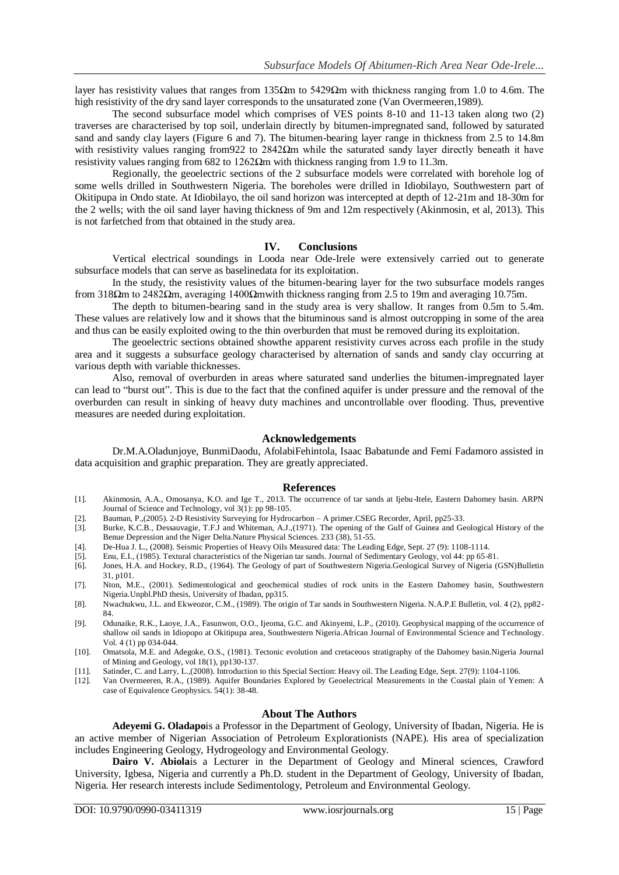layer has resistivity values that ranges from 135Ωm to 5429Ωm with thickness ranging from 1.0 to 4.6m. The high resistivity of the dry sand layer corresponds to the unsaturated zone (Van Overmeeren, 1989).

The second subsurface model which comprises of VES points 8-10 and 11-13 taken along two (2) traverses are characterised by top soil, underlain directly by bitumen-impregnated sand, followed by saturated sand and sandy clay layers (Figure 6 and 7). The bitumen-bearing layer range in thickness from 2.5 to 14.8m with resistivity values ranging from922 to 2842Ωm while the saturated sandy layer directly beneath it have resistivity values ranging from 682 to 1262Ωm with thickness ranging from 1.9 to 11.3m.

Regionally, the geoelectric sections of the 2 subsurface models were correlated with borehole log of some wells drilled in Southwestern Nigeria. The boreholes were drilled in Idiobilayo, Southwestern part of Okitipupa in Ondo state. At Idiobilayo, the oil sand horizon was intercepted at depth of 12-21m and 18-30m for the 2 wells; with the oil sand layer having thickness of 9m and 12m respectively (Akinmosin, et al, 2013). This is not farfetched from that obtained in the study area.

#### **IV. Conclusions**

Vertical electrical soundings in Looda near Ode-Irele were extensively carried out to generate subsurface models that can serve as baselinedata for its exploitation.

In the study, the resistivity values of the bitumen-bearing layer for the two subsurface models ranges from 318Ωm to 2482Ωm, averaging 1400Ωmwith thickness ranging from 2.5 to 19m and averaging 10.75m.

The depth to bitumen-bearing sand in the study area is very shallow. It ranges from 0.5m to 5.4m. These values are relatively low and it shows that the bituminous sand is almost outcropping in some of the area and thus can be easily exploited owing to the thin overburden that must be removed during its exploitation.

The geoelectric sections obtained showthe apparent resistivity curves across each profile in the study area and it suggests a subsurface geology characterised by alternation of sands and sandy clay occurring at various depth with variable thicknesses.

Also, removal of overburden in areas where saturated sand underlies the bitumen-impregnated layer can lead to "burst out". This is due to the fact that the confined aquifer is under pressure and the removal of the overburden can result in sinking of heavy duty machines and uncontrollable over flooding. Thus, preventive measures are needed during exploitation.

## **Acknowledgements**

Dr.M.A.Oladunjoye, BunmiDaodu, AfolabiFehintola, Isaac Babatunde and Femi Fadamoro assisted in data acquisition and graphic preparation. They are greatly appreciated.

#### **References**

- [1]. Akinmosin, A.A., Omosanya, K.O. and Ige T., 2013. The occurrence of tar sands at Ijebu-Itele, Eastern Dahomey basin. ARPN Journal of Science and Technology, vol 3(1): pp 98-105.
- [2]. Bauman, P.,(2005). 2-D Resistivity Surveying for Hydrocarbon A primer.CSEG Recorder, April, pp25-33.
- [3]. Burke, K.C.B., Dessauvagie, T.F.J and Whiteman, A.J.,(1971). The opening of the Gulf of Guinea and Geological History of the Benue Depression and the Niger Delta.Nature Physical Sciences. 233 (38), 51-55.
- [4]. De-Hua J. L., (2008). Seismic Properties of Heavy Oils Measured data: The Leading Edge, Sept. 27 (9): 1108-1114.
- [5]. Enu, E.I., (1985). Textural characteristics of the Nigerian tar sands. Journal of Sedimentary Geology, vol 44: pp 65-81.
- [6]. Jones, H.A. and Hockey, R.D., (1964). The Geology of part of Southwestern Nigeria.Geological Survey of Nigeria (GSN)Bulletin 31, p101.
- [7]. Nton, M.E., (2001). Sedimentological and geochemical studies of rock units in the Eastern Dahomey basin, Southwestern Nigeria.Unpbl.PhD thesis, University of Ibadan, pp315.
- [8]. Nwachukwu, J.L. and Ekweozor, C.M., (1989). The origin of Tar sands in Southwestern Nigeria. N.A.P.E Bulletin, vol. 4 (2), pp82- 84.
- [9]. Odunaike, R.K., Laoye, J.A., Fasunwon, O.O., Ijeoma, G.C. and Akinyemi, L.P., (2010). Geophysical mapping of the occurrence of shallow oil sands in Idiopopo at Okitipupa area, Southwestern Nigeria.African Journal of Environmental Science and Technology. Vol. 4 (1) pp 034-044.
- [10]. Omatsola, M.E. and Adegoke, O.S., (1981). Tectonic evolution and cretaceous stratigraphy of the Dahomey basin.Nigeria Journal of Mining and Geology, vol 18(1), pp130-137.
- [11]. Satinder, C. and Larry, L.,(2008). Introduction to this Special Section: Heavy oil. The Leading Edge, Sept. 27(9): 1104-1106.
- [12]. Van Overmeeren, R.A., (1989). Aquifer Boundaries Explored by Geoelectrical Measurements in the Coastal plain of Yemen: A case of Equivalence Geophysics. 54(1): 38-48.

## **About The Authors**

**Adeyemi G. Oladapo**is a Professor in the Department of Geology, University of Ibadan, Nigeria. He is an active member of Nigerian Association of Petroleum Explorationists (NAPE). His area of specialization includes Engineering Geology, Hydrogeology and Environmental Geology.

**Dairo V. Abiola**is a Lecturer in the Department of Geology and Mineral sciences, Crawford University, Igbesa, Nigeria and currently a Ph.D. student in the Department of Geology, University of Ibadan, Nigeria. Her research interests include Sedimentology, Petroleum and Environmental Geology.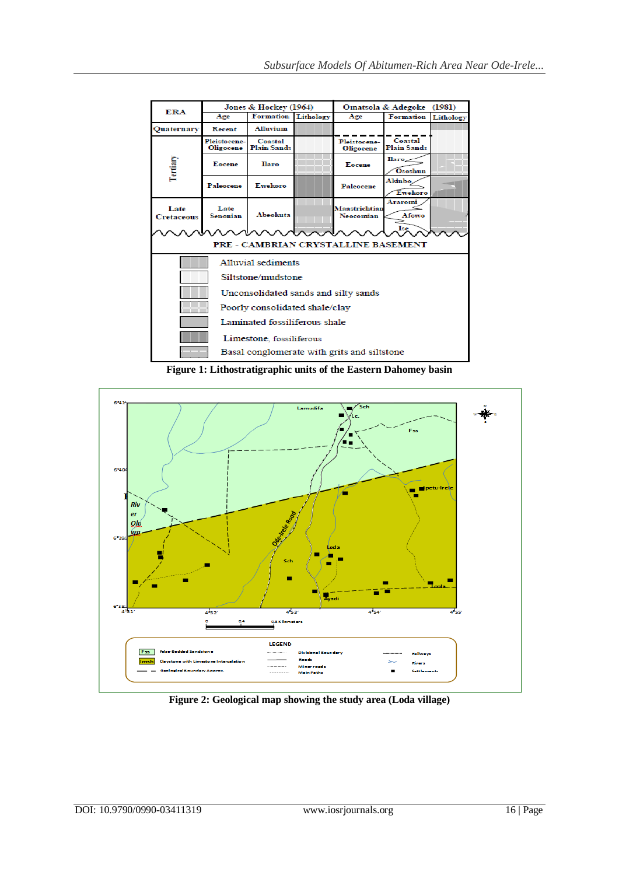

**Figure 1: Lithostratigraphic units of the Eastern Dahomey basin**



**Figure 2: Geological map showing the study area (Loda village)**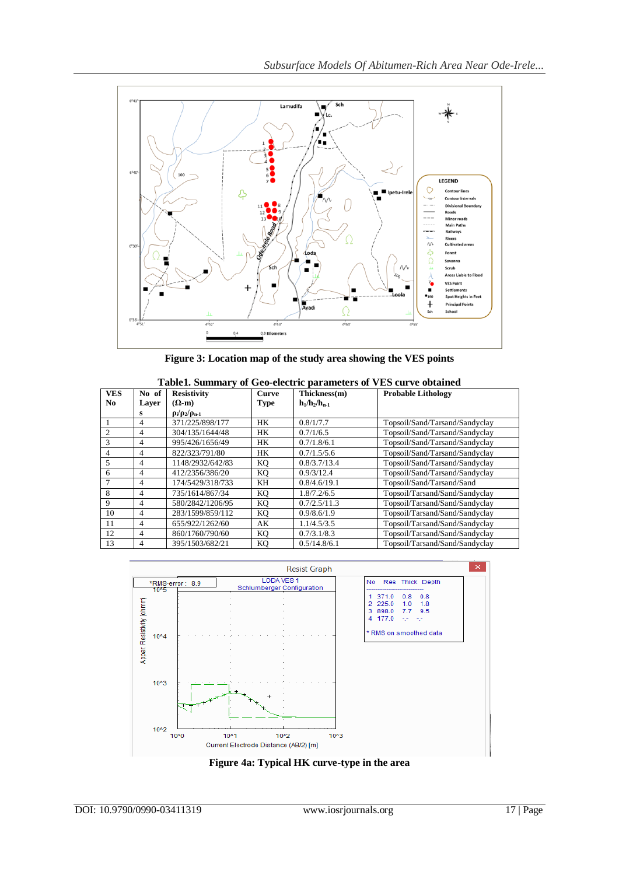

**Figure 3: Location map of the study area showing the VES points**

| Table1. Summary of Geo-electric parameters of VES curve obtained |                |                            |           |                                     |                                |
|------------------------------------------------------------------|----------------|----------------------------|-----------|-------------------------------------|--------------------------------|
| <b>VES</b>                                                       | No of          | <b>Resistivity</b>         | Curve     | Thickness(m)                        | <b>Probable Lithology</b>      |
| No                                                               | Laver          | $(\Omega \cdot m)$         | Type      | ${\bf h}_1/{\bf h}_2/{\bf h}_{n-1}$ |                                |
|                                                                  | s              | $\rho_i/\rho_2/\rho_{n-1}$ |           |                                     |                                |
|                                                                  | 4              | 371/225/898/177            | <b>HK</b> | 0.8/1/7.7                           | Topsoil/Sand/Tarsand/Sandyclay |
|                                                                  | 4              | 304/135/1644/48            | HК        | 0.7/1/6.5                           | Topsoil/Sand/Tarsand/Sandyclay |
| 3                                                                | 4              | 995/426/1656/49            | HK        | 0.7/1.8/6.1                         | Topsoil/Sand/Tarsand/Sandyclay |
| 4                                                                | 4              | 822/323/791/80             | HK        | 0.7/1.5/5.6                         | Topsoil/Sand/Tarsand/Sandyclay |
| 5                                                                | 4              | 1148/2932/642/83           | KO        | 0.8/3.7/13.4                        | Topsoil/Sand/Tarsand/Sandyclay |
| 6                                                                | $\overline{4}$ | 412/2356/386/20            | KO        | 0.9/3/12.4                          | Topsoil/Sand/Tarsand/Sandyclay |
|                                                                  | 4              | 174/5429/318/733           | KН        | 0.8/4.6/19.1                        | Topsoil/Sand/Tarsand/Sand      |
| 8                                                                | 4              | 735/1614/867/34            | KO        | 1.8/7.2/6.5                         | Topsoil/Tarsand/Sand/Sandyclay |
| 9                                                                | 4              | 580/2842/1206/95           | KO        | 0.7/2.5/11.3                        | Topsoil/Tarsand/Sand/Sandyclay |
| 10                                                               | 4              | 283/1599/859/112           | KO        | 0.9/8.6/1.9                         | Topsoil/Tarsand/Sand/Sandyclay |
| 11                                                               | 4              | 655/922/1262/60            | АK        | 1.1/4.5/3.5                         | Topsoil/Tarsand/Sand/Sandyclay |
| 12                                                               | 4              | 860/1760/790/60            | KO        | 0.7/3.1/8.3                         | Topsoil/Tarsand/Sand/Sandyclay |
| 13                                                               | 4              | 395/1503/682/21            | KO        | 0.5/14.8/6.1                        | Topsoil/Tarsand/Sand/Sandvclav |



**Figure 4a: Typical HK curve-type in the area**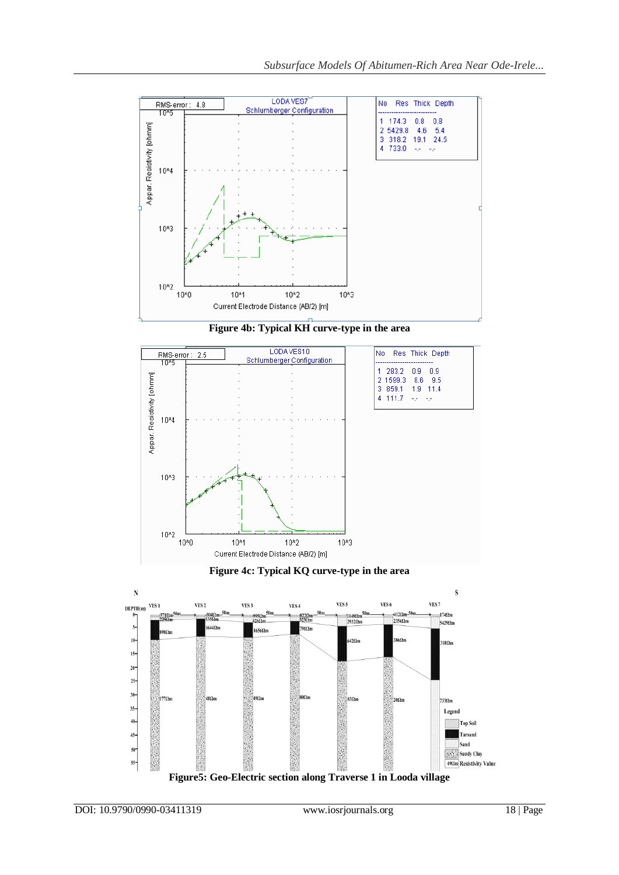